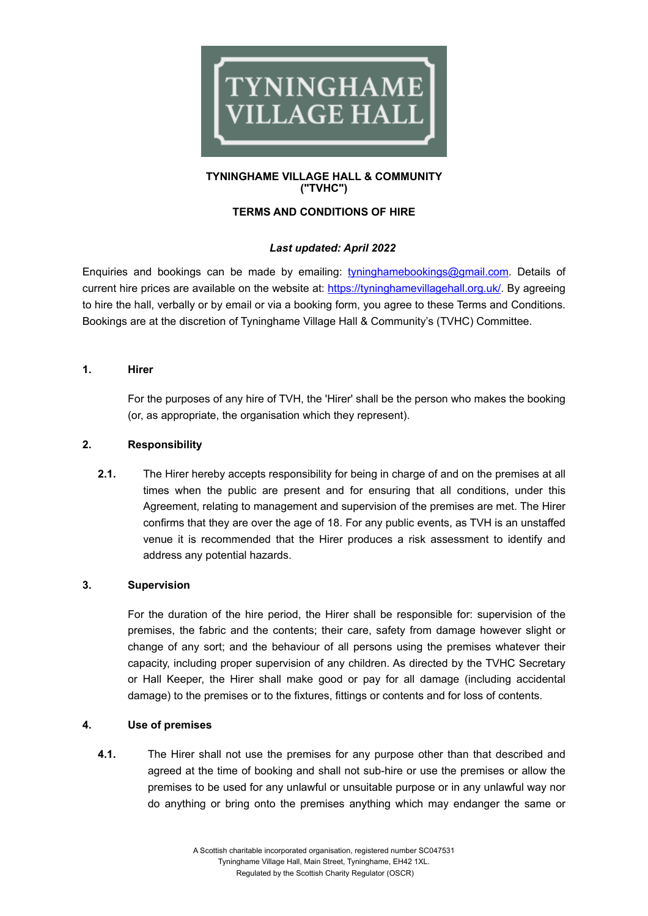

#### **TYNINGHAME VILLAGE HALL & COMMUNITY ("TVHC")**

# **TERMS AND CONDITIONS OF HIRE**

## *Last updated: April 2022*

Enquiries and bookings can be made by emailing: [tyninghamebookings@gmail.com.](mailto:tyninghamebookings@gmail.com) Details of current hire prices are available on the website at: [https://tyninghamevillagehall.org.uk/.](https://tyninghamevillagehall.org.uk/) By agreeing to hire the hall, verbally or by email or via a booking form, you agree to these Terms and Conditions. Bookings are at the discretion of Tyninghame Village Hall & Community's (TVHC) Committee.

### **1. Hirer**

For the purposes of any hire of TVH, the 'Hirer' shall be the person who makes the booking (or, as appropriate, the organisation which they represent).

## **2. Responsibility**

**2.1.** The Hirer hereby accepts responsibility for being in charge of and on the premises at all times when the public are present and for ensuring that all conditions, under this Agreement, relating to management and supervision of the premises are met. The Hirer confirms that they are over the age of 18. For any public events, as TVH is an unstaffed venue it is recommended that the Hirer produces a risk assessment to identify and address any potential hazards.

### **3. Supervision**

For the duration of the hire period, the Hirer shall be responsible for: supervision of the premises, the fabric and the contents; their care, safety from damage however slight or change of any sort; and the behaviour of all persons using the premises whatever their capacity, including proper supervision of any children. As directed by the TVHC Secretary or Hall Keeper, the Hirer shall make good or pay for all damage (including accidental damage) to the premises or to the fixtures, fittings or contents and for loss of contents.

# **4. Use of premises**

**4.1.** The Hirer shall not use the premises for any purpose other than that described and agreed at the time of booking and shall not sub-hire or use the premises or allow the premises to be used for any unlawful or unsuitable purpose or in any unlawful way nor do anything or bring onto the premises anything which may endanger the same or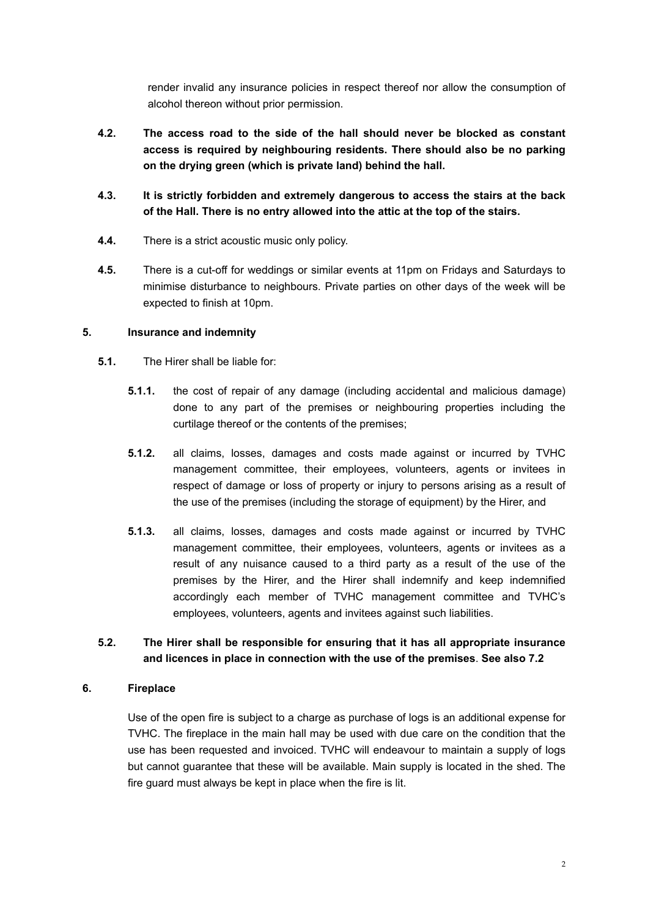render invalid any insurance policies in respect thereof nor allow the consumption of alcohol thereon without prior permission.

- **4.2. The access road to the side of the hall should never be blocked as constant access is required by neighbouring residents. There should also be no parking on the drying green (which is private land) behind the hall.**
- **4.3. It is strictly forbidden and extremely dangerous to access the stairs at the back of the Hall. There is no entry allowed into the attic at the top of the stairs.**
- **4.4.** There is a strict acoustic music only policy.
- **4.5.** There is a cut-off for weddings or similar events at 11pm on Fridays and Saturdays to minimise disturbance to neighbours. Private parties on other days of the week will be expected to finish at 10pm.

#### **5. Insurance and indemnity**

- **5.1.** The Hirer shall be liable for:
	- **5.1.1.** the cost of repair of any damage (including accidental and malicious damage) done to any part of the premises or neighbouring properties including the curtilage thereof or the contents of the premises;
	- **5.1.2.** all claims, losses, damages and costs made against or incurred by TVHC management committee, their employees, volunteers, agents or invitees in respect of damage or loss of property or injury to persons arising as a result of the use of the premises (including the storage of equipment) by the Hirer, and
	- **5.1.3.** all claims, losses, damages and costs made against or incurred by TVHC management committee, their employees, volunteers, agents or invitees as a result of any nuisance caused to a third party as a result of the use of the premises by the Hirer, and the Hirer shall indemnify and keep indemnified accordingly each member of TVHC management committee and TVHC's employees, volunteers, agents and invitees against such liabilities.

# **5.2. The Hirer shall be responsible for ensuring that it has all appropriate insurance and licences in place in connection with the use of the premises**. **See also 7.2**

#### **6. Fireplace**

Use of the open fire is subject to a charge as purchase of logs is an additional expense for TVHC. The fireplace in the main hall may be used with due care on the condition that the use has been requested and invoiced. TVHC will endeavour to maintain a supply of logs but cannot guarantee that these will be available. Main supply is located in the shed. The fire guard must always be kept in place when the fire is lit.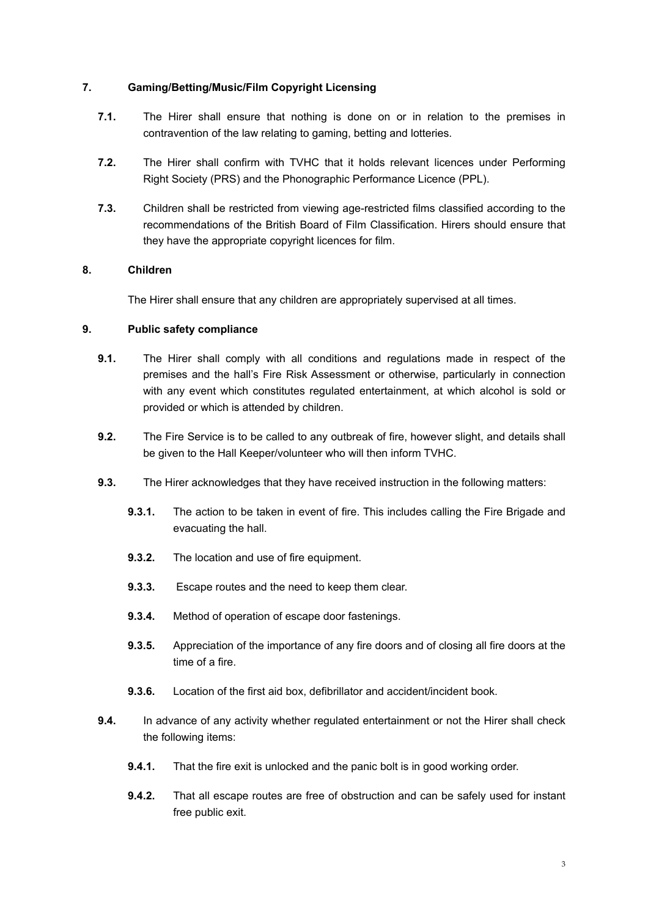# **7. Gaming/Betting/Music/Film Copyright Licensing**

- **7.1.** The Hirer shall ensure that nothing is done on or in relation to the premises in contravention of the law relating to gaming, betting and lotteries.
- **7.2.** The Hirer shall confirm with TVHC that it holds relevant licences under Performing Right Society (PRS) and the Phonographic Performance Licence (PPL).
- **7.3.** Children shall be restricted from viewing age-restricted films classified according to the recommendations of the British Board of Film Classification. Hirers should ensure that they have the appropriate copyright licences for film.

## **8. Children**

The Hirer shall ensure that any children are appropriately supervised at all times.

## **9. Public safety compliance**

- **9.1.** The Hirer shall comply with all conditions and regulations made in respect of the premises and the hall's Fire Risk Assessment or otherwise, particularly in connection with any event which constitutes regulated entertainment, at which alcohol is sold or provided or which is attended by children.
- **9.2.** The Fire Service is to be called to any outbreak of fire, however slight, and details shall be given to the Hall Keeper/volunteer who will then inform TVHC.
- **9.3.** The Hirer acknowledges that they have received instruction in the following matters:
	- **9.3.1.** The action to be taken in event of fire. This includes calling the Fire Brigade and evacuating the hall.
	- **9.3.2.** The location and use of fire equipment.
	- **9.3.3.** Escape routes and the need to keep them clear.
	- **9.3.4.** Method of operation of escape door fastenings.
	- **9.3.5.** Appreciation of the importance of any fire doors and of closing all fire doors at the time of a fire.
	- **9.3.6.** Location of the first aid box, defibrillator and accident/incident book.
- **9.4.** In advance of any activity whether regulated entertainment or not the Hirer shall check the following items:
	- **9.4.1.** That the fire exit is unlocked and the panic bolt is in good working order.
	- **9.4.2.** That all escape routes are free of obstruction and can be safely used for instant free public exit.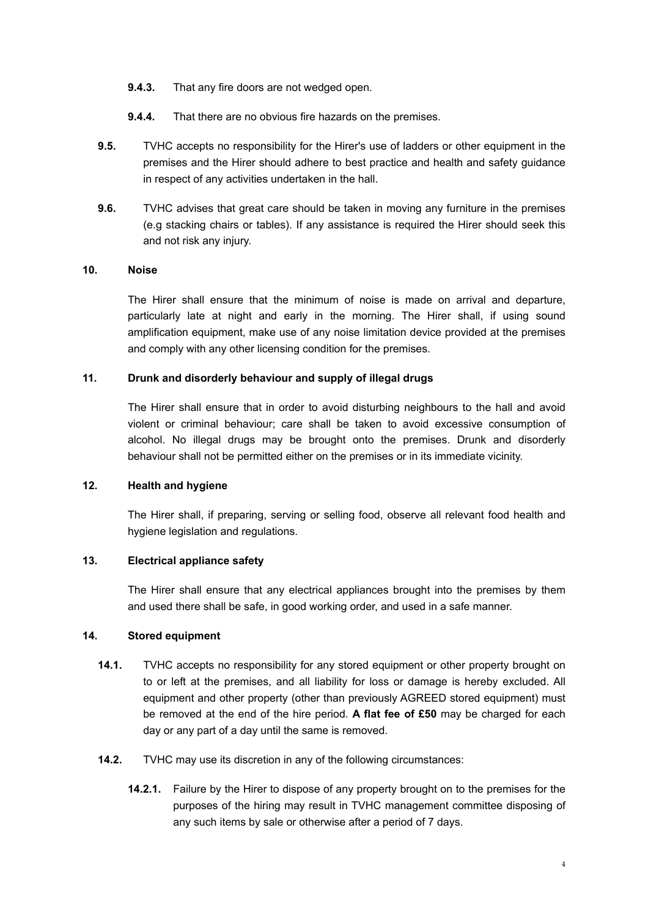- **9.4.3.** That any fire doors are not wedged open.
- **9.4.4.** That there are no obvious fire hazards on the premises.
- **9.5.** TVHC accepts no responsibility for the Hirer's use of ladders or other equipment in the premises and the Hirer should adhere to best practice and health and safety guidance in respect of any activities undertaken in the hall.
- **9.6.** TVHC advises that great care should be taken in moving any furniture in the premises (e.g stacking chairs or tables). If any assistance is required the Hirer should seek this and not risk any injury.

# **10. Noise**

The Hirer shall ensure that the minimum of noise is made on arrival and departure, particularly late at night and early in the morning. The Hirer shall, if using sound amplification equipment, make use of any noise limitation device provided at the premises and comply with any other licensing condition for the premises.

## **11. Drunk and disorderly behaviour and supply of illegal drugs**

The Hirer shall ensure that in order to avoid disturbing neighbours to the hall and avoid violent or criminal behaviour; care shall be taken to avoid excessive consumption of alcohol. No illegal drugs may be brought onto the premises. Drunk and disorderly behaviour shall not be permitted either on the premises or in its immediate vicinity.

#### **12. Health and hygiene**

The Hirer shall, if preparing, serving or selling food, observe all relevant food health and hygiene legislation and regulations.

### **13. Electrical appliance safety**

The Hirer shall ensure that any electrical appliances brought into the premises by them and used there shall be safe, in good working order, and used in a safe manner.

#### **14. Stored equipment**

- **14.1.** TVHC accepts no responsibility for any stored equipment or other property brought on to or left at the premises, and all liability for loss or damage is hereby excluded. All equipment and other property (other than previously AGREED stored equipment) must be removed at the end of the hire period. **A flat fee of £50** may be charged for each day or any part of a day until the same is removed.
- **14.2.** TVHC may use its discretion in any of the following circumstances:
	- **14.2.1.** Failure by the Hirer to dispose of any property brought on to the premises for the purposes of the hiring may result in TVHC management committee disposing of any such items by sale or otherwise after a period of 7 days.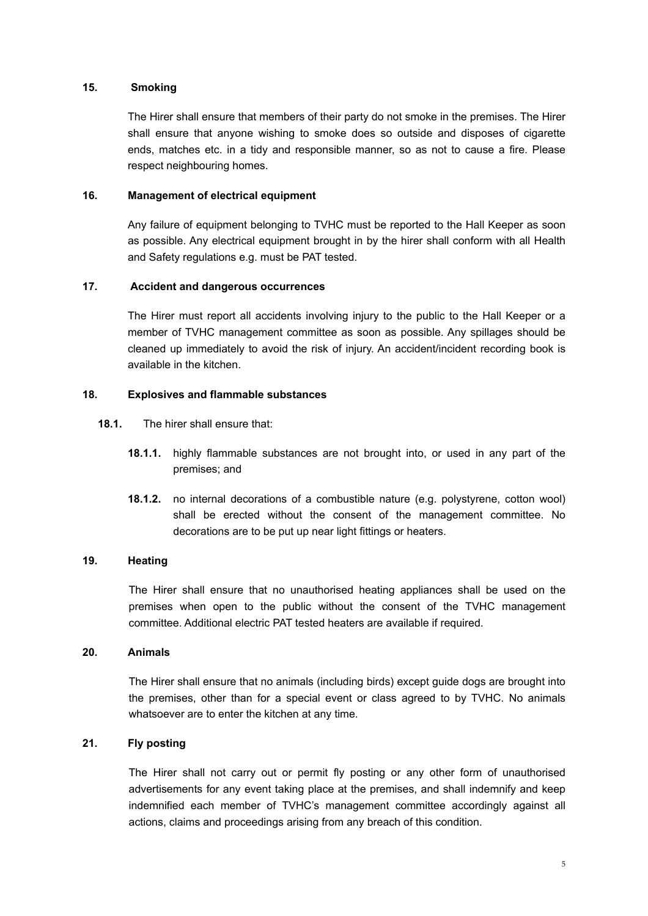### **15. Smoking**

The Hirer shall ensure that members of their party do not smoke in the premises. The Hirer shall ensure that anyone wishing to smoke does so outside and disposes of cigarette ends, matches etc. in a tidy and responsible manner, so as not to cause a fire. Please respect neighbouring homes.

### **16. Management of electrical equipment**

Any failure of equipment belonging to TVHC must be reported to the Hall Keeper as soon as possible. Any electrical equipment brought in by the hirer shall conform with all Health and Safety regulations e.g. must be PAT tested.

## **17. Accident and dangerous occurrences**

The Hirer must report all accidents involving injury to the public to the Hall Keeper or a member of TVHC management committee as soon as possible. Any spillages should be cleaned up immediately to avoid the risk of injury. An accident/incident recording book is available in the kitchen.

## **18. Explosives and flammable substances**

- **18.1.** The hirer shall ensure that:
	- **18.1.1.** highly flammable substances are not brought into, or used in any part of the premises; and
	- **18.1.2.** no internal decorations of a combustible nature (e.g. polystyrene, cotton wool) shall be erected without the consent of the management committee. No decorations are to be put up near light fittings or heaters.

### **19. Heating**

The Hirer shall ensure that no unauthorised heating appliances shall be used on the premises when open to the public without the consent of the TVHC management committee. Additional electric PAT tested heaters are available if required.

### **20. Animals**

The Hirer shall ensure that no animals (including birds) except guide dogs are brought into the premises, other than for a special event or class agreed to by TVHC. No animals whatsoever are to enter the kitchen at any time.

# **21. Fly posting**

The Hirer shall not carry out or permit fly posting or any other form of unauthorised advertisements for any event taking place at the premises, and shall indemnify and keep indemnified each member of TVHC's management committee accordingly against all actions, claims and proceedings arising from any breach of this condition.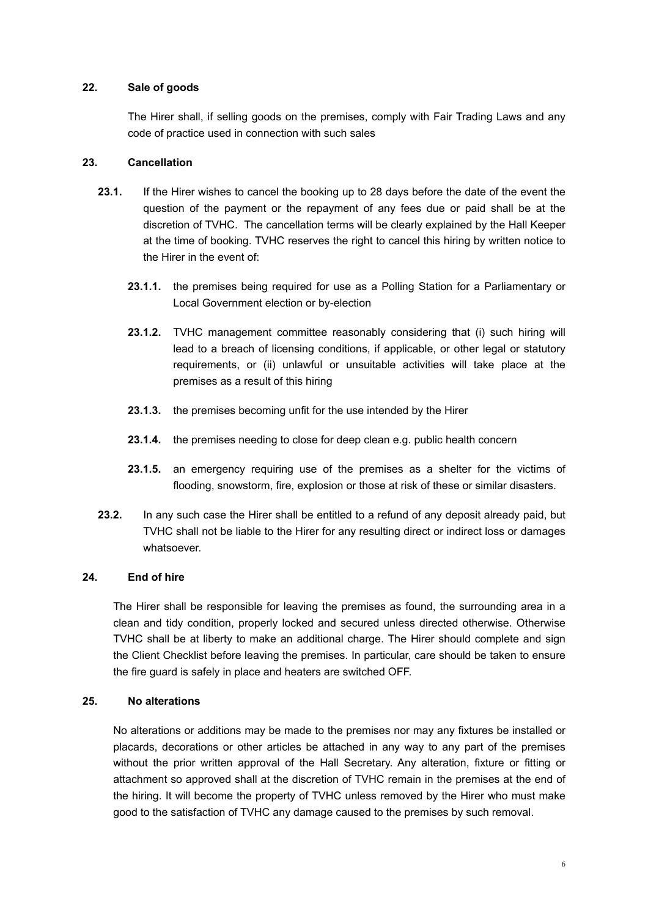## **22. Sale of goods**

The Hirer shall, if selling goods on the premises, comply with Fair Trading Laws and any code of practice used in connection with such sales

### **23. Cancellation**

- **23.1.** If the Hirer wishes to cancel the booking up to 28 days before the date of the event the question of the payment or the repayment of any fees due or paid shall be at the discretion of TVHC. The cancellation terms will be clearly explained by the Hall Keeper at the time of booking. TVHC reserves the right to cancel this hiring by written notice to the Hirer in the event of:
	- **23.1.1.** the premises being required for use as a Polling Station for a Parliamentary or Local Government election or by-election
	- **23.1.2.** TVHC management committee reasonably considering that (i) such hiring will lead to a breach of licensing conditions, if applicable, or other legal or statutory requirements, or (ii) unlawful or unsuitable activities will take place at the premises as a result of this hiring
	- **23.1.3.** the premises becoming unfit for the use intended by the Hirer
	- **23.1.4.** the premises needing to close for deep clean e.g. public health concern
	- **23.1.5.** an emergency requiring use of the premises as a shelter for the victims of flooding, snowstorm, fire, explosion or those at risk of these or similar disasters.
- **23.2.** In any such case the Hirer shall be entitled to a refund of any deposit already paid, but TVHC shall not be liable to the Hirer for any resulting direct or indirect loss or damages whatsoever.

# **24. End of hire**

The Hirer shall be responsible for leaving the premises as found, the surrounding area in a clean and tidy condition, properly locked and secured unless directed otherwise. Otherwise TVHC shall be at liberty to make an additional charge. The Hirer should complete and sign the Client Checklist before leaving the premises. In particular, care should be taken to ensure the fire guard is safely in place and heaters are switched OFF.

### **25. No alterations**

No alterations or additions may be made to the premises nor may any fixtures be installed or placards, decorations or other articles be attached in any way to any part of the premises without the prior written approval of the Hall Secretary. Any alteration, fixture or fitting or attachment so approved shall at the discretion of TVHC remain in the premises at the end of the hiring. It will become the property of TVHC unless removed by the Hirer who must make good to the satisfaction of TVHC any damage caused to the premises by such removal.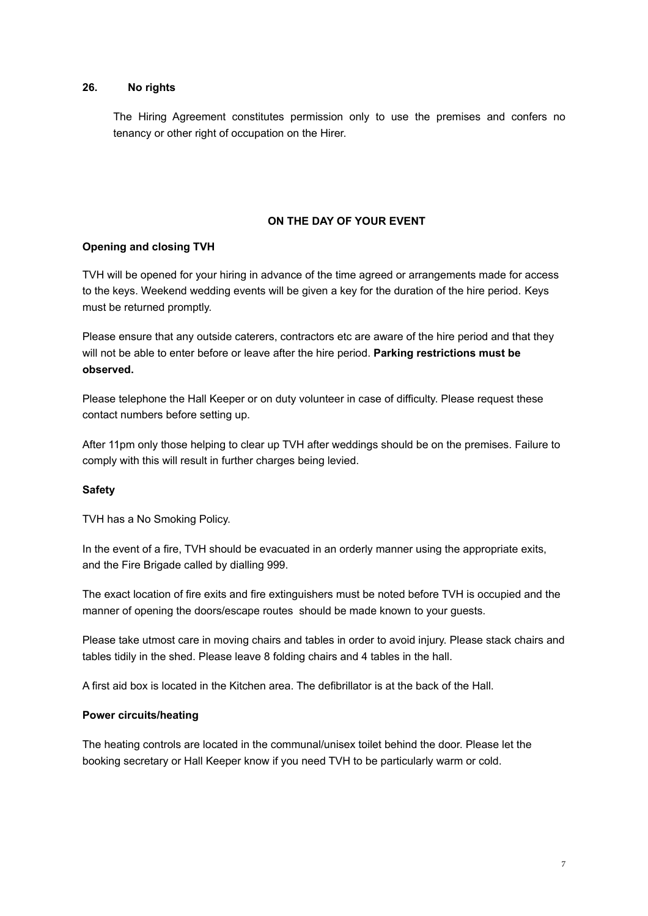#### **26. No rights**

The Hiring Agreement constitutes permission only to use the premises and confers no tenancy or other right of occupation on the Hirer.

### **ON THE DAY OF YOUR EVENT**

### **Opening and closing TVH**

TVH will be opened for your hiring in advance of the time agreed or arrangements made for access to the keys. Weekend wedding events will be given a key for the duration of the hire period. Keys must be returned promptly.

Please ensure that any outside caterers, contractors etc are aware of the hire period and that they will not be able to enter before or leave after the hire period. **Parking restrictions must be observed.** 

Please telephone the Hall Keeper or on duty volunteer in case of difficulty. Please request these contact numbers before setting up.

After 11pm only those helping to clear up TVH after weddings should be on the premises. Failure to comply with this will result in further charges being levied.

#### **Safety**

TVH has a No Smoking Policy.

In the event of a fire, TVH should be evacuated in an orderly manner using the appropriate exits, and the Fire Brigade called by dialling 999.

The exact location of fire exits and fire extinguishers must be noted before TVH is occupied and the manner of opening the doors/escape routes should be made known to your guests.

Please take utmost care in moving chairs and tables in order to avoid injury. Please stack chairs and tables tidily in the shed. Please leave 8 folding chairs and 4 tables in the hall.

A first aid box is located in the Kitchen area. The defibrillator is at the back of the Hall.

#### **Power circuits/heating**

The heating controls are located in the communal/unisex toilet behind the door. Please let the booking secretary or Hall Keeper know if you need TVH to be particularly warm or cold.